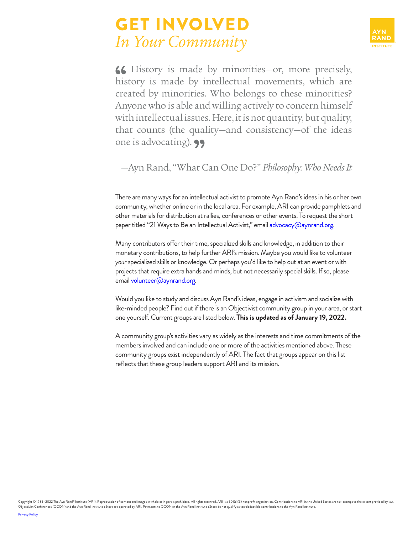## GET INVOLVED *In Your Community*



66 History is made by minorities-or, more precisely, history is made by intellectual movements, which are created by minorities. Who belongs to these minorities? Anyone who is able and willing actively to concern himself with intellectual issues. Here, it is not quantity, but quality, that counts (the quality—and consistency—of the ideas one is advocating). **99** 

## —Ayn Rand, "What Can One Do?" *Philosophy: Who Needs It*

There are many ways for an intellectual activist to promote Ayn Rand's ideas in his or her own community, whether online or in the local area. For example, ARI can provide pamphlets and other materials for distribution at rallies, conferences or other events. To request the short paper titled "21 Ways to Be an Intellectual Activist," email [advocacy@aynrand.org.](mailto:advocacy@aynrand.org)

Many contributors offer their time, specialized skills and knowledge, in addition to their monetary contributions, to help further ARI's mission. Maybe you would like to volunteer *your* specialized skills or knowledge. Or perhaps you'd like to help out at an event or with projects that require extra hands and minds, but not necessarily special skills. If so, please email [volunteer@aynrand.org.](mailto:volunteer@aynrand.org)

Would you like to study and discuss Ayn Rand's ideas, engage in activism and socialize with like-minded people? Find out if there is an Objectivist community group in your area, or start one yourself. Current groups are listed below. **This is updated as of January 19, 2022.**

A community group's activities vary as widely as the interests and time commitments of the members involved and can include one or more of the activities mentioned above. These community groups exist independently of ARI. The fact that groups appear on this list reflects that these group leaders support ARI and its mission.

Copyright © 1985-2022 The Ayn Rand® Institute (ARI). Reproduction of content and images in whole or in part is prohibited. All rights reserved. ARI is a 501(c)(3) nonprofit organization. Contributions to ARI in the United Objectivist Conferences (OCON) and the Ayn Rand Institute eStore are operated by ARI. Payments to OCON or the Ayn Rand Institute eStore do not qualify as tax-deductible contributions to the Ayn Rand Institute.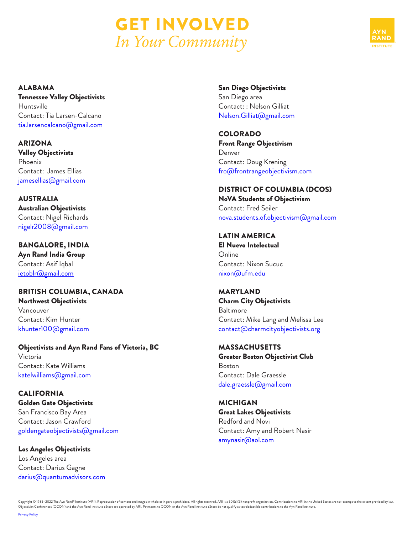



ALABAMA

Tennessee Valley Objectivists Huntsville Contact: Tia Larsen-Calcano [tia.larsencalcano@gmail.com](mailto:tia.larsencalcano%40gmail.com?subject=)

ARIZONA Valley Objectivists Phoenix Contact: James Ellias [jamesellias@gmail.com](mailto:jamesellias%40gmail.com?subject=)

AUSTRALIA Australian Objectivists Contact: Nigel Richards nigelr2008@gmail.com

BANGALORE, INDIA Ayn Rand India Group Contact: Asif Iqbal [ietoblr@gmail.com](mailto:ietoblr%40gmail.com%20?subject=)

[khunter100@gmail.com](mailto:khunter100%40gmail.com?subject=)

BRITISH COLUMBIA, CANADA Northwest Objectivists Vancouver Contact: Kim Hunter

Objectivists and Ayn Rand Fans of Victoria, BC Victoria Contact: Kate Williams [katelwilliams@gmail.com](mailto:katelwilliams%40gmail.com?subject=)

CALIFORNIA Golden Gate Objectivists San Francisco Bay Area Contact: Jason Crawford [goldengateobjectivists@gmail.com](mailto:goldengateobjectivists%40gmail.com?subject=)

Los Angeles Objectivists Los Angeles area Contact: Darius Gagne [darius@quantumadvisors.com](mailto:darius%40quantumadvisors.com%20?subject=) San Diego Objectivists

San Diego area Contact: : Nelson Gilliat [Nelson.Gilliat@gmail.com](mailto:Nelson.Gilliat%40gmail.com?subject=)

COLORADO Front Range Objectivism Denver Contact: Doug Krening [fro@frontrangeobjectivism.com](mailto:fro%40frontrangeobjectivism.com?subject=)

DISTRICT OF COLUMBIA (DCOS) NoVA Students of Objectivism Contact: Fred Seiler [nova.students.of.objectivism@gmail.com](mailto:nova.students.of.objectivism%40gmail.com%20?subject=)

LATIN AMERICA El Nuevo Intelectual Online Contact: Nixon Sucuc [nixon@ufm.edu](mailto:nixon%40ufm.edu?subject=)

MARYLAND Charm City Objectivists Baltimore Contact: Mike Lang and Melissa Lee [contact@charmcityobjectivists.org](mailto:contact%40charmcityobjectivists.org?subject=)

MASSACHUSETTS Greater Boston Objectivist Club Boston Contact: Dale Graessle [dale.graessle@gmail.com](mailto:dale.graessle%40gmail.com?subject=)

MICHIGAN Great Lakes Objectivists Redford and Novi Contact: Amy and Robert Nasir [amynasir@aol.com](mailto:amynasir%40aol.com?subject=)

Copyright © 1985–2022 The Ayn Rand® Institute (ARI). Reproduction of content and images in whole or in part is prohibited. All rights reserved. ARI is a 501(c)(3) nonprofit organization. Contributions to ARI in the United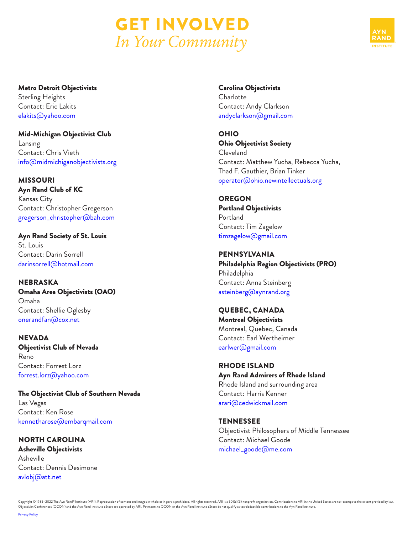



Metro Detroit Objectivists Sterling Heights Contact: Eric Lakits [elakits@yahoo.com](mailto:elakits%40yahoo.com?subject=)

Mid-Michigan Objectivist Club Lansing Contact: Chris Vieth [info@midmichiganobjectivists.org](mailto:info%40midmichiganobjectivists.org?subject=)

MISSOURI Ayn Rand Club of KC Kansas City Contact: Christopher Gregerson [gregerson\\_christopher@bah.com](mailto:gregerson_christopher%40bah.com?subject=)

Ayn Rand Society of St. Louis St. Louis Contact: Darin Sorrell darinsorrell@hotmail.com

NEBRASKA Omaha Area Objectivists (OAO) Omaha Contact: Shellie Oglesby [onerandfan@cox.net](mailto:onerandfan%40cox.net?subject=)

NEVADA Objectivist Club of Nevada Reno Contact: Forrest Lorz [forrest.lorz@yahoo.com](mailto:forrest.lorz%40yahoo.com?subject=)

The Objectivist Club of Southern Nevada Las Vegas Contact: Ken Rose k[ennetharose@embarqmail.com](mailto:kennetharose%40embarqmail.com?subject=)

NORTH CAROLINA Asheville Objectivists Asheville Contact: Dennis Desimone [avlobj@att.net](mailto:avlobj%40att.net?subject=)

Carolina Objectivists Charlotte Contact: Andy Clarkson [andyclarkson@gmail.com](mailto:andyclarkson%40gmail.com?subject=)

OHIO Ohio Objectivist Society Cleveland Contact: Matthew Yucha, Rebecca Yucha, Thad F. Gauthier, Brian Tinker [operator@ohio.newintellectuals.org](mailto:operator%40ohio.newintellectuals.org?subject=)

**OREGON** Portland Objectivists Portland Contact: Tim Zagelow [timzagelow@gmail.com](mailto:timzagelow%40gmail.com?subject=)

PENNSYLVANIA Philadelphia Region Objectivists (PRO) Philadelphia Contact: Anna Steinberg [asteinberg@aynrand.org](mailto:asteinberg%40aynrand.org?subject=)

QUEBEC, CANADA Montreal Objectivists Montreal, Quebec, Canada Contact: Earl Wertheimer [earlwer@gmail.com](mailto:earlwer%40gmail.com%20?subject=)

RHODE ISLAND Ayn Rand Admirers of Rhode Island Rhode Island and surrounding area Contact: Harris Kenner [arari@cedwickmail.com](mailto:arari%40cedwickmail.com?subject=)

TENNESSEE Objectivist Philosophers of Middle Tennessee Contact: Michael Goode [michael\\_goode@me.com](mailto:michael_goode%40me.com?subject=)

Copyright © 1985–2022 The Ayn Rand® Institute (ARI). Reproduction of content and images in whole or in part is prohibited. All rights reserved. ARI is a 501(c)(3) nonprofit organization. Contributions to ARI in the United